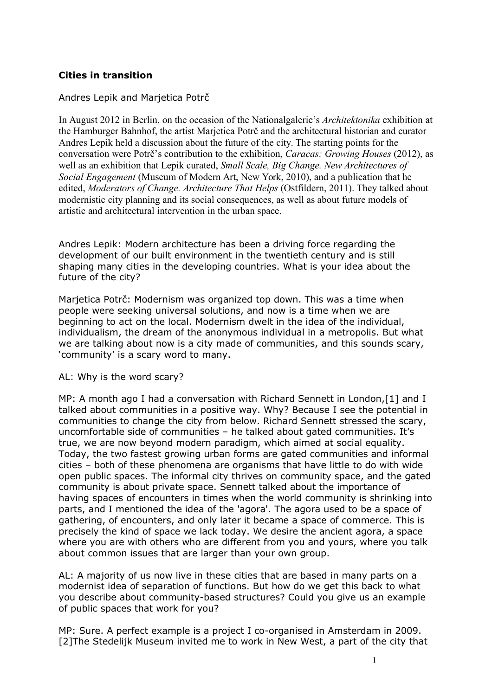## **Cities in transition**

## Andres Lepik and Marjetica Potrč

In August 2012 in Berlin, on the occasion of the Nationalgalerie's *Architektonika* exhibition at the Hamburger Bahnhof, the artist Marjetica Potrč and the architectural historian and curator Andres Lepik held a discussion about the future of the city. The starting points for the conversation were Potrč's contribution to the exhibition, *Caracas: Growing Houses* (2012), as well as an exhibition that Lepik curated, *Small Scale, Big Change. New Architectures of Social Engagement* (Museum of Modern Art, New York, 2010), and a publication that he edited, *Moderators of Change. Architecture That Helps* (Ostfildern, 2011). They talked about modernistic city planning and its social consequences, as well as about future models of artistic and architectural intervention in the urban space.

Andres Lepik: Modern architecture has been a driving force regarding the development of our built environment in the twentieth century and is still shaping many cities in the developing countries. What is your idea about the future of the city?

Marjetica Potrč: Modernism was organized top down. This was a time when people were seeking universal solutions, and now is a time when we are beginning to act on the local. Modernism dwelt in the idea of the individual, individualism, the dream of the anonymous individual in a metropolis. But what we are talking about now is a city made of communities, and this sounds scary, 'community' is a scary word to many.

## AL: Why is the word scary?

MP: A month ago I had a conversation with Richard Sennett in London,[1] and I talked about communities in a positive way. Why? Because I see the potential in communities to change the city from below. Richard Sennett stressed the scary, uncomfortable side of communities – he talked about gated communities. It's true, we are now beyond modern paradigm, which aimed at social equality. Today, the two fastest growing urban forms are gated communities and informal cities – both of these phenomena are organisms that have little to do with wide open public spaces. The informal city thrives on community space, and the gated community is about private space. Sennett talked about the importance of having spaces of encounters in times when the world community is shrinking into parts, and I mentioned the idea of the 'agora'. The agora used to be a space of gathering, of encounters, and only later it became a space of commerce. This is precisely the kind of space we lack today. We desire the ancient agora, a space where you are with others who are different from you and yours, where you talk about common issues that are larger than your own group.

AL: A majority of us now live in these cities that are based in many parts on a modernist idea of separation of functions. But how do we get this back to what you describe about community-based structures? Could you give us an example of public spaces that work for you?

MP: Sure. A perfect example is a project I co-organised in Amsterdam in 2009. [2]The Stedelijk Museum invited me to work in New West, a part of the city that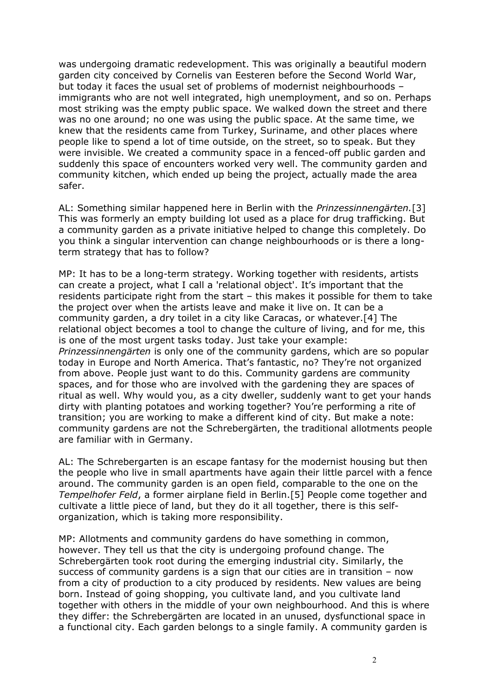was undergoing dramatic redevelopment. This was originally a beautiful modern garden city conceived by Cornelis van Eesteren before the Second World War, but today it faces the usual set of problems of modernist neighbourhoods – immigrants who are not well integrated, high unemployment, and so on. Perhaps most striking was the empty public space. We walked down the street and there was no one around; no one was using the public space. At the same time, we knew that the residents came from Turkey, Suriname, and other places where people like to spend a lot of time outside, on the street, so to speak. But they were invisible. We created a community space in a fenced-off public garden and suddenly this space of encounters worked very well. The community garden and community kitchen, which ended up being the project, actually made the area safer.

AL: Something similar happened here in Berlin with the *Prinzessinnengärten.*[3] This was formerly an empty building lot used as a place for drug trafficking. But a community garden as a private initiative helped to change this completely. Do you think a singular intervention can change neighbourhoods or is there a longterm strategy that has to follow?

MP: It has to be a long-term strategy. Working together with residents, artists can create a project, what I call a 'relational object'. It's important that the residents participate right from the start – this makes it possible for them to take the project over when the artists leave and make it live on. It can be a community garden, a dry toilet in a city like Caracas, or whatever.[4] The relational object becomes a tool to change the culture of living, and for me, this is one of the most urgent tasks today. Just take your example: *Prinzessinnengärten* is only one of the community gardens, which are so popular today in Europe and North America. That's fantastic, no? They're not organized from above. People just want to do this. Community gardens are community spaces, and for those who are involved with the gardening they are spaces of ritual as well. Why would you, as a city dweller, suddenly want to get your hands dirty with planting potatoes and working together? You're performing a rite of transition; you are working to make a different kind of city. But make a note: community gardens are not the Schrebergärten, the traditional allotments people are familiar with in Germany.

AL: The Schrebergarten is an escape fantasy for the modernist housing but then the people who live in small apartments have again their little parcel with a fence around. The community garden is an open field, comparable to the one on the *Tempelhofer Feld*, a former airplane field in Berlin.[5] People come together and cultivate a little piece of land, but they do it all together, there is this selforganization, which is taking more responsibility.

MP: Allotments and community gardens do have something in common, however. They tell us that the city is undergoing profound change. The Schrebergärten took root during the emerging industrial city. Similarly, the success of community gardens is a sign that our cities are in transition – now from a city of production to a city produced by residents. New values are being born. Instead of going shopping, you cultivate land, and you cultivate land together with others in the middle of your own neighbourhood. And this is where they differ: the Schrebergärten are located in an unused, dysfunctional space in a functional city. Each garden belongs to a single family. A community garden is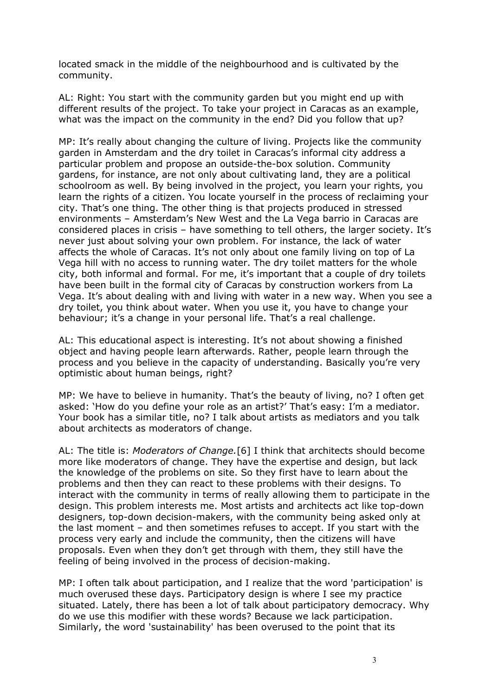located smack in the middle of the neighbourhood and is cultivated by the community.

AL: Right: You start with the community garden but you might end up with different results of the project. To take your project in Caracas as an example, what was the impact on the community in the end? Did you follow that up?

MP: It's really about changing the culture of living. Projects like the community garden in Amsterdam and the dry toilet in Caracas's informal city address a particular problem and propose an outside-the-box solution. Community gardens, for instance, are not only about cultivating land, they are a political schoolroom as well. By being involved in the project, you learn your rights, you learn the rights of a citizen. You locate yourself in the process of reclaiming your city. That's one thing. The other thing is that projects produced in stressed environments – Amsterdam's New West and the La Vega barrio in Caracas are considered places in crisis – have something to tell others, the larger society. It's never just about solving your own problem. For instance, the lack of water affects the whole of Caracas. It's not only about one family living on top of La Vega hill with no access to running water. The dry toilet matters for the whole city, both informal and formal. For me, it's important that a couple of dry toilets have been built in the formal city of Caracas by construction workers from La Vega. It's about dealing with and living with water in a new way. When you see a dry toilet, you think about water. When you use it, you have to change your behaviour; it's a change in your personal life. That's a real challenge.

AL: This educational aspect is interesting. It's not about showing a finished object and having people learn afterwards. Rather, people learn through the process and you believe in the capacity of understanding. Basically you're very optimistic about human beings, right?

MP: We have to believe in humanity. That's the beauty of living, no? I often get asked: 'How do you define your role as an artist?' That's easy: I'm a mediator. Your book has a similar title, no? I talk about artists as mediators and you talk about architects as moderators of change.

AL: The title is: *Moderators of Change.*[6] I think that architects should become more like moderators of change. They have the expertise and design, but lack the knowledge of the problems on site. So they first have to learn about the problems and then they can react to these problems with their designs. To interact with the community in terms of really allowing them to participate in the design. This problem interests me. Most artists and architects act like top-down designers, top-down decision-makers, with the community being asked only at the last moment – and then sometimes refuses to accept. If you start with the process very early and include the community, then the citizens will have proposals. Even when they don't get through with them, they still have the feeling of being involved in the process of decision-making.

MP: I often talk about participation, and I realize that the word 'participation' is much overused these days. Participatory design is where I see my practice situated. Lately, there has been a lot of talk about participatory democracy. Why do we use this modifier with these words? Because we lack participation. Similarly, the word 'sustainability' has been overused to the point that its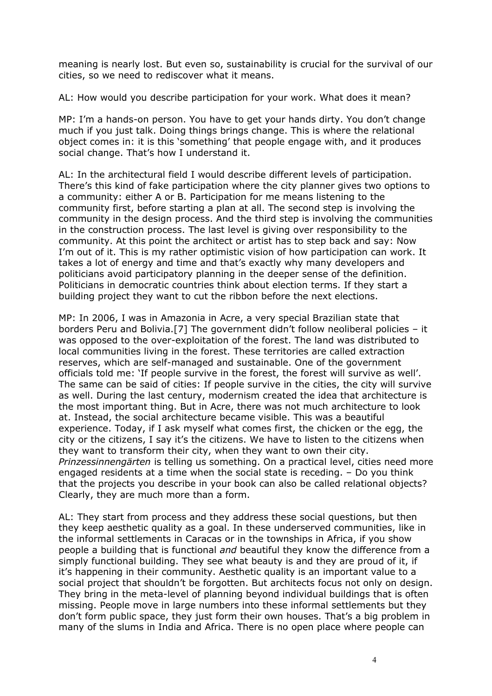meaning is nearly lost. But even so, sustainability is crucial for the survival of our cities, so we need to rediscover what it means.

AL: How would you describe participation for your work. What does it mean?

MP: I'm a hands-on person. You have to get your hands dirty. You don't change much if you just talk. Doing things brings change. This is where the relational object comes in: it is this 'something' that people engage with, and it produces social change. That's how I understand it.

AL: In the architectural field I would describe different levels of participation. There's this kind of fake participation where the city planner gives two options to a community: either A or B. Participation for me means listening to the community first, before starting a plan at all. The second step is involving the community in the design process. And the third step is involving the communities in the construction process. The last level is giving over responsibility to the community. At this point the architect or artist has to step back and say: Now I'm out of it. This is my rather optimistic vision of how participation can work. It takes a lot of energy and time and that's exactly why many developers and politicians avoid participatory planning in the deeper sense of the definition. Politicians in democratic countries think about election terms. If they start a building project they want to cut the ribbon before the next elections.

MP: In 2006, I was in Amazonia in Acre, a very special Brazilian state that borders Peru and Bolivia.[7] The government didn't follow neoliberal policies – it was opposed to the over-exploitation of the forest. The land was distributed to local communities living in the forest. These territories are called extraction reserves, which are self-managed and sustainable. One of the government officials told me: 'If people survive in the forest, the forest will survive as well'. The same can be said of cities: If people survive in the cities, the city will survive as well. During the last century, modernism created the idea that architecture is the most important thing. But in Acre, there was not much architecture to look at. Instead, the social architecture became visible. This was a beautiful experience. Today, if I ask myself what comes first, the chicken or the egg, the city or the citizens, I say it's the citizens. We have to listen to the citizens when they want to transform their city, when they want to own their city. *Prinzessinnengärten* is telling us something. On a practical level, cities need more engaged residents at a time when the social state is receding. – Do you think that the projects you describe in your book can also be called relational objects? Clearly, they are much more than a form.

AL: They start from process and they address these social questions, but then they keep aesthetic quality as a goal. In these underserved communities, like in the informal settlements in Caracas or in the townships in Africa, if you show people a building that is functional *and* beautiful they know the difference from a simply functional building. They see what beauty is and they are proud of it, if it's happening in their community. Aesthetic quality is an important value to a social project that shouldn't be forgotten. But architects focus not only on design. They bring in the meta-level of planning beyond individual buildings that is often missing. People move in large numbers into these informal settlements but they don't form public space, they just form their own houses. That's a big problem in many of the slums in India and Africa. There is no open place where people can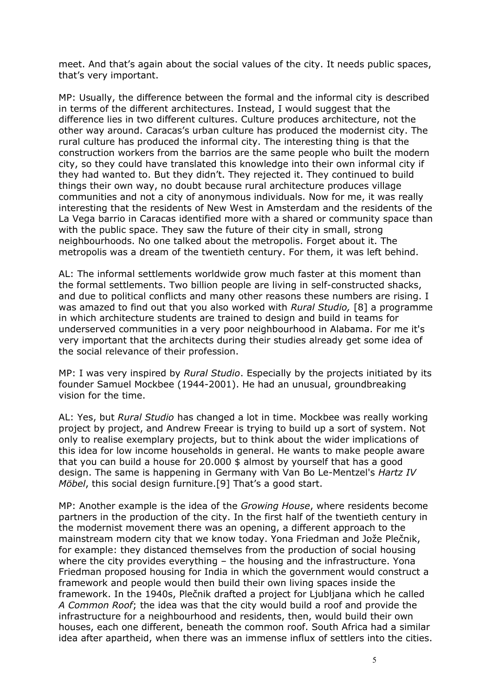meet. And that's again about the social values of the city. It needs public spaces, that's very important.

MP: Usually, the difference between the formal and the informal city is described in terms of the different architectures. Instead, I would suggest that the difference lies in two different cultures. Culture produces architecture, not the other way around. Caracas's urban culture has produced the modernist city. The rural culture has produced the informal city. The interesting thing is that the construction workers from the barrios are the same people who built the modern city, so they could have translated this knowledge into their own informal city if they had wanted to. But they didn't. They rejected it. They continued to build things their own way, no doubt because rural architecture produces village communities and not a city of anonymous individuals. Now for me, it was really interesting that the residents of New West in Amsterdam and the residents of the La Vega barrio in Caracas identified more with a shared or community space than with the public space. They saw the future of their city in small, strong neighbourhoods. No one talked about the metropolis. Forget about it. The metropolis was a dream of the twentieth century. For them, it was left behind.

AL: The informal settlements worldwide grow much faster at this moment than the formal settlements. Two billion people are living in self-constructed shacks, and due to political conflicts and many other reasons these numbers are rising. I was amazed to find out that you also worked with *Rural Studio,* [8] a programme in which architecture students are trained to design and build in teams for underserved communities in a very poor neighbourhood in Alabama. For me it's very important that the architects during their studies already get some idea of the social relevance of their profession.

MP: I was very inspired by *Rural Studio*. Especially by the projects initiated by its founder Samuel Mockbee (1944-2001). He had an unusual, groundbreaking vision for the time.

AL: Yes, but *Rural Studio* has changed a lot in time. Mockbee was really working project by project, and Andrew Freear is trying to build up a sort of system. Not only to realise exemplary projects, but to think about the wider implications of this idea for low income households in general. He wants to make people aware that you can build a house for 20.000 \$ almost by yourself that has a good design. The same is happening in Germany with Van Bo Le-Mentzel's *Hartz IV Möbel*, this social design furniture.[9] That's a good start.

MP: Another example is the idea of the *Growing House*, where residents become partners in the production of the city. In the first half of the twentieth century in the modernist movement there was an opening, a different approach to the mainstream modern city that we know today. Yona Friedman and Jože Plečnik, for example: they distanced themselves from the production of social housing where the city provides everything – the housing and the infrastructure. Yona Friedman proposed housing for India in which the government would construct a framework and people would then build their own living spaces inside the framework. In the 1940s, Plečnik drafted a project for Ljubljana which he called *A Common Roof*; the idea was that the city would build a roof and provide the infrastructure for a neighbourhood and residents, then, would build their own houses, each one different, beneath the common roof. South Africa had a similar idea after apartheid, when there was an immense influx of settlers into the cities.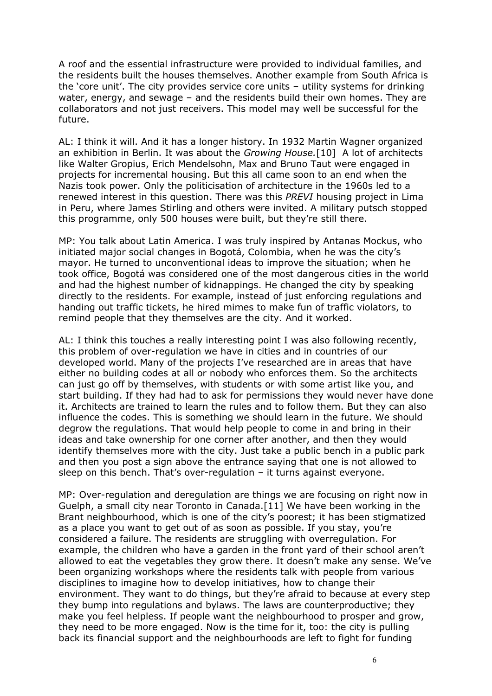A roof and the essential infrastructure were provided to individual families, and the residents built the houses themselves. Another example from South Africa is the 'core unit'. The city provides service core units – utility systems for drinking water, energy, and sewage – and the residents build their own homes. They are collaborators and not just receivers. This model may well be successful for the future.

AL: I think it will. And it has a longer history. In 1932 Martin Wagner organized an exhibition in Berlin. It was about the *Growing House.*[10] A lot of architects like Walter Gropius, Erich Mendelsohn, Max and Bruno Taut were engaged in projects for incremental housing. But this all came soon to an end when the Nazis took power. Only the politicisation of architecture in the 1960s led to a renewed interest in this question. There was this *PREVI* housing project in Lima in Peru, where James Stirling and others were invited. A military putsch stopped this programme, only 500 houses were built, but they're still there.

MP: You talk about Latin America. I was truly inspired by Antanas Mockus, who initiated major social changes in Bogotá, Colombia, when he was the city's mayor. He turned to unconventional ideas to improve the situation; when he took office, Bogotá was considered one of the most dangerous cities in the world and had the highest number of kidnappings. He changed the city by speaking directly to the residents. For example, instead of just enforcing regulations and handing out traffic tickets, he hired mimes to make fun of traffic violators, to remind people that they themselves are the city. And it worked.

AL: I think this touches a really interesting point I was also following recently, this problem of over-regulation we have in cities and in countries of our developed world. Many of the projects I've researched are in areas that have either no building codes at all or nobody who enforces them. So the architects can just go off by themselves, with students or with some artist like you, and start building. If they had had to ask for permissions they would never have done it. Architects are trained to learn the rules and to follow them. But they can also influence the codes. This is something we should learn in the future. We should degrow the regulations. That would help people to come in and bring in their ideas and take ownership for one corner after another, and then they would identify themselves more with the city. Just take a public bench in a public park and then you post a sign above the entrance saying that one is not allowed to sleep on this bench. That's over-regulation – it turns against everyone.

MP: Over-regulation and deregulation are things we are focusing on right now in Guelph, a small city near Toronto in Canada.[11] We have been working in the Brant neighbourhood, which is one of the city's poorest; it has been stigmatized as a place you want to get out of as soon as possible. If you stay, you're considered a failure. The residents are struggling with overregulation. For example, the children who have a garden in the front yard of their school aren't allowed to eat the vegetables they grow there. It doesn't make any sense. We've been organizing workshops where the residents talk with people from various disciplines to imagine how to develop initiatives, how to change their environment. They want to do things, but they're afraid to because at every step they bump into regulations and bylaws. The laws are counterproductive; they make you feel helpless. If people want the neighbourhood to prosper and grow, they need to be more engaged. Now is the time for it, too: the city is pulling back its financial support and the neighbourhoods are left to fight for funding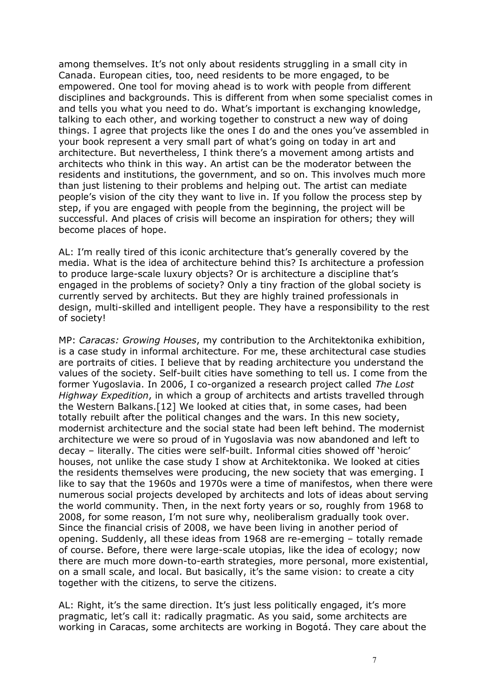among themselves. It's not only about residents struggling in a small city in Canada. European cities, too, need residents to be more engaged, to be empowered. One tool for moving ahead is to work with people from different disciplines and backgrounds. This is different from when some specialist comes in and tells you what you need to do. What's important is exchanging knowledge, talking to each other, and working together to construct a new way of doing things. I agree that projects like the ones I do and the ones you've assembled in your book represent a very small part of what's going on today in art and architecture. But nevertheless, I think there's a movement among artists and architects who think in this way. An artist can be the moderator between the residents and institutions, the government, and so on. This involves much more than just listening to their problems and helping out. The artist can mediate people's vision of the city they want to live in. If you follow the process step by step, if you are engaged with people from the beginning, the project will be successful. And places of crisis will become an inspiration for others; they will become places of hope.

AL: I'm really tired of this iconic architecture that's generally covered by the media. What is the idea of architecture behind this? Is architecture a profession to produce large-scale luxury objects? Or is architecture a discipline that's engaged in the problems of society? Only a tiny fraction of the global society is currently served by architects. But they are highly trained professionals in design, multi-skilled and intelligent people. They have a responsibility to the rest of society!

MP: *Caracas: Growing Houses*, my contribution to the Architektonika exhibition, is a case study in informal architecture. For me, these architectural case studies are portraits of cities. I believe that by reading architecture you understand the values of the society. Self-built cities have something to tell us. I come from the former Yugoslavia. In 2006, I co-organized a research project called *The Lost Highway Expedition*, in which a group of architects and artists travelled through the Western Balkans.[12] We looked at cities that, in some cases, had been totally rebuilt after the political changes and the wars. In this new society, modernist architecture and the social state had been left behind. The modernist architecture we were so proud of in Yugoslavia was now abandoned and left to decay – literally. The cities were self-built. Informal cities showed off 'heroic' houses, not unlike the case study I show at Architektonika. We looked at cities the residents themselves were producing, the new society that was emerging. I like to say that the 1960s and 1970s were a time of manifestos, when there were numerous social projects developed by architects and lots of ideas about serving the world community. Then, in the next forty years or so, roughly from 1968 to 2008, for some reason, I'm not sure why, neoliberalism gradually took over. Since the financial crisis of 2008, we have been living in another period of opening. Suddenly, all these ideas from 1968 are re-emerging – totally remade of course. Before, there were large-scale utopias, like the idea of ecology; now there are much more down-to-earth strategies, more personal, more existential, on a small scale, and local. But basically, it's the same vision: to create a city together with the citizens, to serve the citizens.

AL: Right, it's the same direction. It's just less politically engaged, it's more pragmatic, let's call it: radically pragmatic. As you said, some architects are working in Caracas, some architects are working in Bogotá. They care about the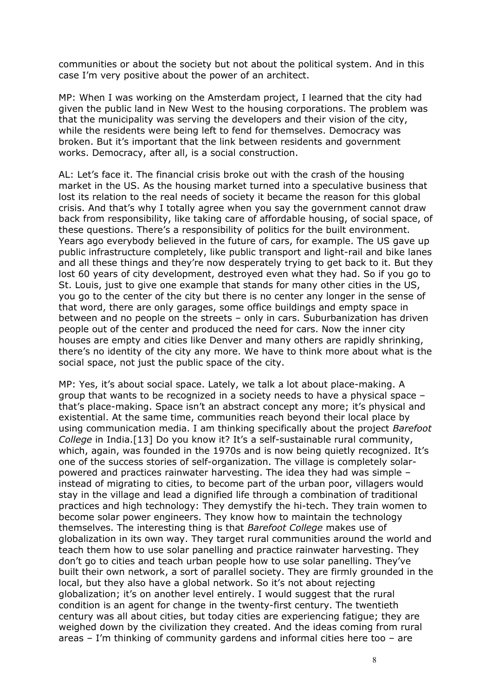communities or about the society but not about the political system. And in this case I'm very positive about the power of an architect.

MP: When I was working on the Amsterdam project, I learned that the city had given the public land in New West to the housing corporations. The problem was that the municipality was serving the developers and their vision of the city, while the residents were being left to fend for themselves. Democracy was broken. But it's important that the link between residents and government works. Democracy, after all, is a social construction.

AL: Let's face it. The financial crisis broke out with the crash of the housing market in the US. As the housing market turned into a speculative business that lost its relation to the real needs of society it became the reason for this global crisis. And that's why I totally agree when you say the government cannot draw back from responsibility, like taking care of affordable housing, of social space, of these questions. There's a responsibility of politics for the built environment. Years ago everybody believed in the future of cars, for example. The US gave up public infrastructure completely, like public transport and light-rail and bike lanes and all these things and they're now desperately trying to get back to it. But they lost 60 years of city development, destroyed even what they had. So if you go to St. Louis, just to give one example that stands for many other cities in the US, you go to the center of the city but there is no center any longer in the sense of that word, there are only garages, some office buildings and empty space in between and no people on the streets – only in cars. Suburbanization has driven people out of the center and produced the need for cars. Now the inner city houses are empty and cities like Denver and many others are rapidly shrinking, there's no identity of the city any more. We have to think more about what is the social space, not just the public space of the city.

MP: Yes, it's about social space. Lately, we talk a lot about place-making. A group that wants to be recognized in a society needs to have a physical space – that's place-making. Space isn't an abstract concept any more; it's physical and existential. At the same time, communities reach beyond their local place by using communication media. I am thinking specifically about the project *Barefoot College* in India.[13] Do you know it? It's a self-sustainable rural community, which, again, was founded in the 1970s and is now being quietly recognized. It's one of the success stories of self-organization. The village is completely solarpowered and practices rainwater harvesting. The idea they had was simple – instead of migrating to cities, to become part of the urban poor, villagers would stay in the village and lead a dignified life through a combination of traditional practices and high technology: They demystify the hi-tech. They train women to become solar power engineers. They know how to maintain the technology themselves. The interesting thing is that *Barefoot College* makes use of globalization in its own way. They target rural communities around the world and teach them how to use solar panelling and practice rainwater harvesting. They don't go to cities and teach urban people how to use solar panelling. They've built their own network, a sort of parallel society. They are firmly grounded in the local, but they also have a global network. So it's not about rejecting globalization; it's on another level entirely. I would suggest that the rural condition is an agent for change in the twenty-first century. The twentieth century was all about cities, but today cities are experiencing fatigue; they are weighed down by the civilization they created. And the ideas coming from rural areas – I'm thinking of community gardens and informal cities here too – are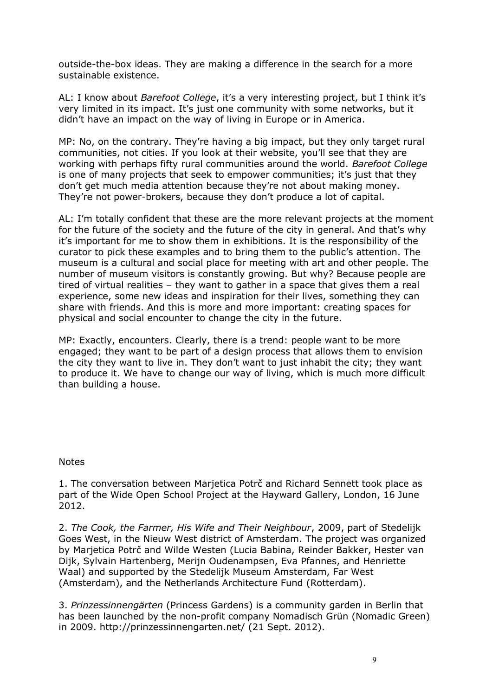outside-the-box ideas. They are making a difference in the search for a more sustainable existence.

AL: I know about *Barefoot College*, it's a very interesting project, but I think it's very limited in its impact. It's just one community with some networks, but it didn't have an impact on the way of living in Europe or in America.

MP: No, on the contrary. They're having a big impact, but they only target rural communities, not cities. If you look at their website, you'll see that they are working with perhaps fifty rural communities around the world. *Barefoot College* is one of many projects that seek to empower communities; it's just that they don't get much media attention because they're not about making money. They're not power-brokers, because they don't produce a lot of capital.

AL: I'm totally confident that these are the more relevant projects at the moment for the future of the society and the future of the city in general. And that's why it's important for me to show them in exhibitions. It is the responsibility of the curator to pick these examples and to bring them to the public's attention. The museum is a cultural and social place for meeting with art and other people. The number of museum visitors is constantly growing. But why? Because people are tired of virtual realities – they want to gather in a space that gives them a real experience, some new ideas and inspiration for their lives, something they can share with friends. And this is more and more important: creating spaces for physical and social encounter to change the city in the future.

MP: Exactly, encounters. Clearly, there is a trend: people want to be more engaged; they want to be part of a design process that allows them to envision the city they want to live in. They don't want to just inhabit the city; they want to produce it. We have to change our way of living, which is much more difficult than building a house.

## **Notes**

1. The conversation between Marjetica Potrč and Richard Sennett took place as part of the Wide Open School Project at the Hayward Gallery, London, 16 June 2012.

2. *The Cook, the Farmer, His Wife and Their Neighbour*, 2009, part of Stedelijk Goes West, in the Nieuw West district of Amsterdam. The project was organized by Marjetica Potrč and Wilde Westen (Lucia Babina, Reinder Bakker, Hester van Dijk, Sylvain Hartenberg, Merijn Oudenampsen, Eva Pfannes, and Henriette Waal) and supported by the Stedelijk Museum Amsterdam, Far West (Amsterdam), and the Netherlands Architecture Fund (Rotterdam).

3. *Prinzessinnengärten* (Princess Gardens) is a community garden in Berlin that has been launched by the non-profit company Nomadisch Grün (Nomadic Green) in 2009. http://prinzessinnengarten.net/ (21 Sept. 2012).